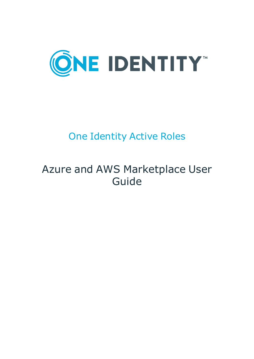

# One Identity Active Roles

# Azure and AWS Marketplace User Guide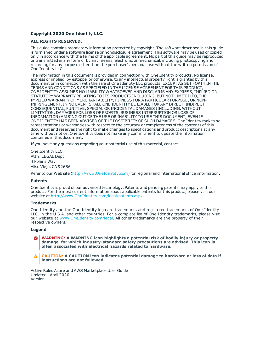#### **Copyright 2020 One Identity LLC.**

#### **ALL RIGHTS RESERVED.**

This guide contains proprietary information protected by copyright. The software described in this guide is furnished under a software license or nondisclosure agreement. This software may be used or copied only in accordance with the terms of the applicable agreement. No part of this guide may be reproduced or transmitted in any form or by any means, electronic or mechanical, including photocopying and recording for any purpose other than the purchaser's personal use without the written permission of One Identity LLC .

The information in this document is provided in connection with One Identity products. No license, express or implied, by estoppel or otherwise, to any intellectual property right is granted by this document or in connection with the sale of One Identity LLC products. EXCEPT AS SET FORTH IN THE TERMS AND CONDITIONS AS SPECIFIED IN THE LICENSE AGREEMENT FOR THIS PRODUCT, ONE IDENTITY ASSUMES NO LIABILITY WHATSOEVER AND DISCLAIMS ANY EXPRESS, IMPLIED OR STATUTORY WARRANTY RELATING TO ITS PRODUCTS INCLUDING, BUT NOT LIMITED TO, THE IMPLIED WARRANTY OF MERCHANTABILITY, FITNESS FOR A PARTICULAR PURPOSE, OR NON-INFRINGEMENT. IN NO EVENT SHALL ONE IDENTITY BE LIABLE FOR ANY DIRECT, INDIRECT, CONSEQUENTIAL, PUNITIVE, SPECIAL OR INCIDENTAL DAMAGES (INCLUDING, WITHOUT LIMITATION, DAMAGES FOR LOSS OF PROFITS, BUSINESS INTERRUPTION OR LOSS OF INFORMATION) ARISING OUT OF THE USE OR INABILITY TO USE THIS DOCUMENT, EVEN IF ONE IDENTITY HAS BEEN ADVISED OF THE POSSIBILITY OF SUCH DAMAGES. One Identity makes no representations or warranties with respect to the accuracy or completeness of the contents of this document and reserves the right to make changes to specifications and product descriptions at any time without notice. One Identity does not make any commitment to update the information contained in this document.

If you have any questions regarding your potential use of this material, contact:

One Identity LLC. Attn: LEGAL Dept 4 Polaris Way Aliso Viejo, CA 92656

Refer to our Web site ([http://www.OneIdentity.com](http://www.oneidentity.com/)) for regional and international office information.

#### **Patents**

One Identity is proud of our advanced technology. Patents and pending patents may apply to this product. For the most current information about applicable patents for this product, please visit our website at [http://www.OneIdentity.com/legal/patents.aspx](http://www.oneidentity.com/legal/patents.aspx).

#### **Trademarks**

One Identity and the One Identity logo are trademarks and registered trademarks of One Identity LLC. in the U.S.A. and other countries. For a complete list of One Identity trademarks, please visit our website at [www.OneIdentity.com/legal](http://www.oneidentity.com/legal). All other trademarks are the property of their respective owners.

#### **Legend**

**WARNING: A WARNING icon highlights a potential risk of bodily injury or property damage, for which industry-standard safety precautions are advised. This icon is often associated with electrical hazards related to hardware.**

**CAUTION: A CAUTION icon indicates potential damage to hardware or loss of data if** A **instructions are not followed.**

Active Roles Azure and AWS Marketplace User Guide Updated - April 2020 Version - -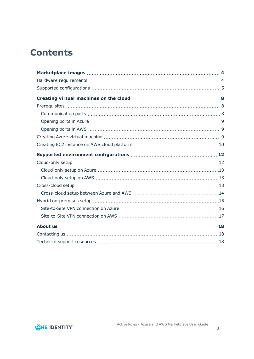# **Contents**

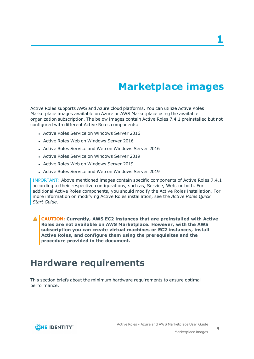**1**

# **Marketplace images**

<span id="page-3-0"></span>Active Roles supports AWS and Azure cloud platforms. You can utilize Active Roles Marketplace images available on Azure or AWS Marketplace using the available organization subscription. The below images contain Active Roles 7.4.1 preinstalled but not configured with different Active Roles components:

- Active Roles Service on Windows Server 2016
- Active Roles Web on Windows Server 2016
- Active Roles Service and Web on Windows Server 2016
- Active Roles Service on Windows Server 2019
- Active Roles Web on Windows Server 2019
- Active Roles Service and Web on Windows Server 2019

IMPORTANT: Above mentioned images contain specific components of Active Roles 7.4.1 according to their respective configurations, such as, Service, Web, or both. For additional Active Roles components, you should modify the Active Roles installation. For more information on modifying Active Roles installation, see the *Active Roles Quick Start Guide*.

**CAUTION: Currently, AWS EC2 instances that are preinstalled with Active Roles are not available on AWS Marketplace. However, with the AWS subscription you can create virtual machines or EC2 instances, install Active Roles, and configure them using the prerequisites and the procedure provided in the document.**

## <span id="page-3-1"></span>**Hardware requirements**

This section briefs about the minimum hardware requirements to ensure optimal performance.

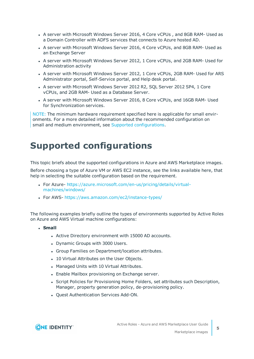- A server with Microsoft Windows Server 2016, 4 Core vCPUs, and 8GB RAM- Used as a Domain Controller with ADFS services that connects to Azure hosted AD.
- A server with Microsoft Windows Server 2016, 4 Core vCPUs, and 8GB RAM- Used as an Exchange Server
- A server with Microsoft Windows Server 2012, 1 Core vCPUs, and 2GB RAM- Used for Administration activity
- A server with Microsoft Windows Server 2012, 1 Core vCPUs, 2GB RAM- Used for ARS Administrator portal, Self-Service portal, and Help desk portal.
- A server with Microsoft Windows Server 2012 R2, SQL Server 2012 SP4, 1 Core vCPUs, and 2GB RAM- Used as a Database Server.
- A server with Microsoft Windows Server 2016, 8 Core vCPUs, and 16GB RAM- Used for Synchronization services.

NOTE: The minimum hardware requirement specified here is applicable for small environments. For a more detailed information about the recommended configuration on small and medium environment, see Supported [configurations.](#page-4-0)

# <span id="page-4-0"></span>**Supported configurations**

This topic briefs about the supported configurations in Azure and AWS Marketplace images.

Before choosing a type of Azure VM or AWS EC2 instance, see the links available here, that help in selecting the suitable configuration based on the requirement.

- For Azure- [https://azure.microsoft.com/en-us/pricing/details/virtual](https://azure.microsoft.com/en-us/pricing/details/virtual-machines/windows/)[machines/windows/](https://azure.microsoft.com/en-us/pricing/details/virtual-machines/windows/)
- For AWS- <https://aws.amazon.com/ec2/instance-types/>

The following examples briefly outline the types of environments supported by Active Roles on Azure and AWS Virtual machine configurations:

- <sup>l</sup> **Small**
	- Active Directory environment with 15000 AD accounts.
	- Dynamic Groups with 3000 Users.
	- Group Families on Department/location attributes.
	- 10 Virtual Attributes on the User Objects.
	- Managed Units with 10 Virtual Attributes.
	- Enable Mailbox provisioning on Exchange server.
	- Script Policies for Provisioning Home Folders, set attributes such Description, Manager, property generation policy, de-provisioning policy.
	- Quest Authentication Services Add-ON.

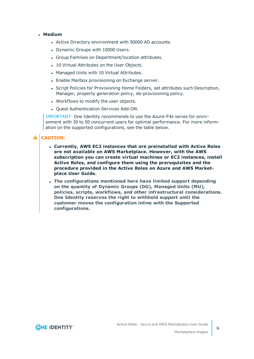### <sup>l</sup> **Medium**

- Active Directory environment with 50000 AD accounts.
- Dynamic Groups with 10000 Users.
- Group Families on Department/location attributes.
- 10 Virtual Attributes on the User Objects.
- Managed Units with 10 Virtual Attributes.
- Enable Mailbox provisioning on Exchange server.
- Script Policies for Provisioning Home Folders, set attributes such Description, Manager, property generation policy, de-provisioning policy.
- Workflows to modify the user objects.
- Ouest Authentication Services Add-ON.

IMPORTANT: One Identity recommends to use the Azure-F4s series for environment with 30 to 50 concurrent users for optimal performance. For more information on the supported configurations, see the table below.

### **A** CAUTION:

- <sup>l</sup> **Currently, AWS EC2 instances that are preinstalled with Active Roles are not available on AWS Marketplace. However, with the AWS subscription you can create virtual machines or EC2 instances, install Active Roles, and configure them using the prerequisites and the procedure provided in the Active Roles on Azure and AWS Marketplace User Guide.**
- <sup>l</sup> **The configurations mentioned here have limited support depending on the quantity of Dynamic Groups (DG), Managed Units (MU), policies, scripts, workflows, and other infrastructural considerations. One Identity reserves the right to withhold support until the customer moves the configuration inline with the Supported configurations.**

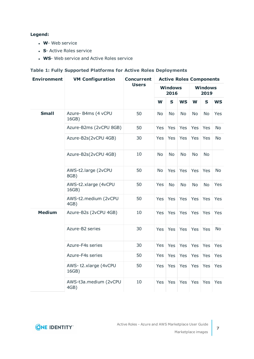### **Legend:**

- **W** Web service
- **.** S- Active Roles service
- **WS-** Web service and Active Roles service

### **Table 1: Fully Supported Platforms for Active Roles Deployments**

| <b>Environment</b> | <b>VM Configuration</b>       | <b>Concurrent</b><br><b>Users</b> | <b>Active Roles Components</b> |             |           |                        |             |            |  |
|--------------------|-------------------------------|-----------------------------------|--------------------------------|-------------|-----------|------------------------|-------------|------------|--|
|                    |                               |                                   | <b>Windows</b><br>2016         |             |           | <b>Windows</b><br>2019 |             |            |  |
|                    |                               |                                   | W                              | $\mathbf S$ | <b>WS</b> | W                      | $\mathbf S$ | <b>WS</b>  |  |
| <b>Small</b>       | Azure- B4ms (4 vCPU<br>16GB)  | 50                                | <b>No</b>                      | <b>No</b>   | <b>No</b> | <b>No</b>              | <b>No</b>   | Yes        |  |
|                    | Azure-B2ms (2vCPU 8GB)        | 50                                | Yes                            | Yes         | Yes       | Yes                    | Yes         | <b>No</b>  |  |
|                    | Azure-B2s(2vCPU 4GB)          | 30                                | Yes                            | Yes         | Yes       | Yes                    | Yes         | <b>No</b>  |  |
|                    | Azure-B2s(2vCPU 4GB)          | 10                                | <b>No</b>                      | <b>No</b>   | <b>No</b> | <b>No</b>              | <b>No</b>   |            |  |
|                    | AWS-t2.large (2vCPU<br>8GB)   | 50                                | <b>No</b>                      | Yes         | Yes       | Yes                    | Yes         | No         |  |
|                    | AWS-t2.xlarge (4vCPU<br>16GB) | 50                                | Yes                            | <b>No</b>   | <b>No</b> | <b>No</b>              | <b>No</b>   | <b>Yes</b> |  |
|                    | AWS-t2.medium (2vCPU<br>4GB)  | 50                                | Yes                            | Yes         | Yes       | Yes                    | Yes         | Yes        |  |
| <b>Medium</b>      | Azure-B2s (2vCPU 4GB)         | 10                                | Yes                            | Yes         | Yes       | Yes                    | Yes         | Yes        |  |
|                    | Azure-B2 series               | 30                                | <b>Yes</b>                     | Yes         | Yes       | Yes                    | Yes         | <b>No</b>  |  |
|                    | Azure-F4s series              | 30                                | Yes                            | Yes         | Yes       | Yes                    | Yes         | Yes        |  |
|                    | Azure-F4s series              | 50                                | Yes                            | Yes         | Yes       | Yes                    | Yes         | Yes        |  |
|                    | AWS-t2.xlarge (4vCPU<br>16GB) | 50                                | <b>Yes</b>                     | Yes         | Yes       | Yes                    | Yes         | Yes        |  |
|                    | AWS-t3a.medium (2vCPU<br>4GB) | 10                                | Yes                            | Yes         | Yes       | Yes                    | Yes         | Yes        |  |



**7**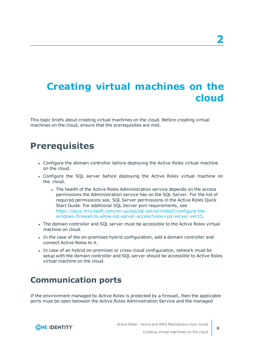# <span id="page-7-0"></span>**Creating virtual machines on the cloud**

This topic briefs about creating virtual machines on the cloud. Before creating virtual machines on the cloud, ensure that the prerequisites are met.

## <span id="page-7-1"></span>**Prerequisites**

- Configure the domain controller before deploying the Active Roles virtual machine on the cloud.
- Configure the SQL server before deploying the Active Roles virtual machine on the cloud.
	- The health of the Active Roles Administration service depends on the access permissions the Administration service has on the SQL Server. For the list of required permissions see, SQL Server permissions in the Active Roles Quick Start Guide. For additional SQL Server port requirements, see [https://docs.microsoft.com/en-us/sql/sql-server/install/configure-the](https://docs.microsoft.com/en-us/sql/sql-server/install/configure-the-windows-firewall-to-allow-sql-server-access?view=sql-server-ver15)[windows-firewall-to-allow-sql-server-access?view=sql-server-ver15.](https://docs.microsoft.com/en-us/sql/sql-server/install/configure-the-windows-firewall-to-allow-sql-server-access?view=sql-server-ver15)
- The domain controller and SQL server must be accessible to the Active Roles virtual machine on cloud.
- In the case of the on-premises hybrid configuration, add a domain controller and connect Active Roles to it.
- In case of an hybrid on-premises or cross-cloud configuration, network must be setup with the domain controller and SQL server should be accessible to Active Roles virtual machine on the cloud.

### <span id="page-7-2"></span>**Communication ports**

If the environment managed by Active Roles is protected by a firewall, then the applicable ports must be open between the Active Roles Administration Service and the managed

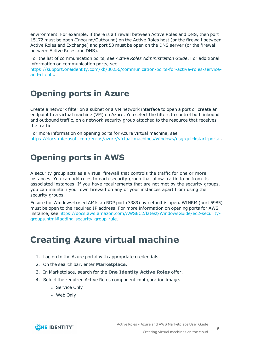environment. For example, if there is a firewall between Active Roles and DNS, then port 15172 must be open (Inbound/Outbound) on the Active Roles host (or the firewall between Active Roles and Exchange) and port 53 must be open on the DNS server (or the firewall between Active Roles and DNS).

For the list of communication ports, see *Active Roles Administration Guide*. For additional information on communication ports, see

[https://support.oneidentity.com/kb/30256/communication-ports-for-active-roles-service](https://support.oneidentity.com/kb/30256/communication-ports-for-active-roles-service-and-clients)[and-clients](https://support.oneidentity.com/kb/30256/communication-ports-for-active-roles-service-and-clients).

### <span id="page-8-0"></span>**Opening ports in Azure**

Create a network filter on a subnet or a VM network interface to open a port or create an endpoint to a virtual machine (VM) on Azure. You select the filters to control both inbound and outbound traffic, on a network security group attached to the resource that receives the traffic.

For more information on opening ports for Azure virtual machine, see [https://docs.microsoft.com/en-us/azure/virtual-machines/windows/nsg-quickstart-portal.](https://docs.microsoft.com/en-us/azure/virtual-machines/windows/nsg-quickstart-portal)

### <span id="page-8-1"></span>**Opening ports in AWS**

A security group acts as a virtual firewall that controls the traffic for one or more instances. You can add rules to each security group that allow traffic to or from its associated instances. If you have requirements that are not met by the security groups, you can maintain your own firewall on any of your instances apart from using the security groups.

Ensure for Windows-based AMIs an RDP port (3389) by default is open. WINRM (port 5985) must be open to the required IP address. For more information on opening ports for AWS instance, see [https://docs.aws.amazon.com/AWSEC2/latest/WindowsGuide/ec2-security](https://docs.aws.amazon.com/AWSEC2/latest/WindowsGuide/ec2-security-groups.html#adding-security-group-rule)[groups.html#adding-security-group-rule.](https://docs.aws.amazon.com/AWSEC2/latest/WindowsGuide/ec2-security-groups.html#adding-security-group-rule)

# <span id="page-8-2"></span>**Creating Azure virtual machine**

- 1. Log on to the Azure portal with appropriate credentials.
- 2. On the search bar, enter **Marketplace**.
- 3. In Marketplace, search for the **One Identity Active Roles** offer.
- 4. Select the required Active Roles component configuration image.
	- Service Only
	- Web Only

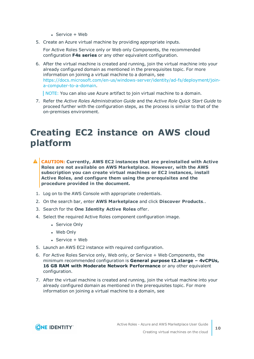- $\cdot$  Service + Web
- 5. Create an Azure virtual machine by providing appropriate inputs.

For Active Roles Service only or Web only Components, the recommended configuration **F4s series** or any other equivalent configuration.

6. After the virtual machine is created and running, join the virtual machine into your already configured domain as mentioned in the prerequisites topic. For more information on joining a virtual machine to a domain, see [https://docs.microsoft.com/en-us/windows-server/identity/ad-fs/deployment/join](https://docs.microsoft.com/en-us/windows-server/identity/ad-fs/deployment/join-a-computer-to-a-domain)[a-computer-to-a-domain](https://docs.microsoft.com/en-us/windows-server/identity/ad-fs/deployment/join-a-computer-to-a-domain).

NOTE: You can also use Azure artifact to join virtual machine to a domain.

7. Refer the *Active Roles Administration Guide* and the *Active Role Quick Start Guide* to proceed further with the configuration steps, as the process is similar to that of the on-premises environment.

# <span id="page-9-0"></span>**Creating EC2 instance on AWS cloud platform**

- **CAUTION: Currently, AWS EC2 instances that are preinstalled with Active Roles are not available on AWS Marketplace. However, with the AWS subscription you can create virtual machines or EC2 instances, install Active Roles, and configure them using the prerequisites and the procedure provided in the document.**
- 1. Log on to the AWS Console with appropriate credentials.
- 2. On the search bar, enter **AWS Marketplace** and click **Discover Products**..
- 3. Search for the **One Identity Active Roles** offer.
- 4. Select the required Active Roles component configuration image.
	- Service Only
	- Web Only
	- $\cdot$  Service + Web
- 5. Launch an AWS EC2 instance with required configuration.
- 6. For Active Roles Service only, Web only, or Service + Web Components, the minimum recommended configuration is **General purpose t2.xlarge – 4vCPUs, 16 GB RAM with Moderate Network Performance** or any other equivalent configuration.
- 7. After the virtual machine is created and running, join the virtual machine into your already configured domain as mentioned in the prerequisites topic. For more information on joining a virtual machine to a domain, see

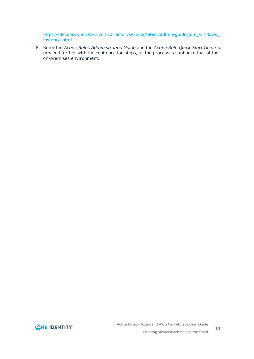[https://docs.aws.amazon.com/directoryservice/latest/admin-guide/join\\_windows\\_](https://docs.aws.amazon.com/directoryservice/latest/admin-guide/join_windows_instance.html) [instance.html.](https://docs.aws.amazon.com/directoryservice/latest/admin-guide/join_windows_instance.html)

8. Refer the *Active Roles Administration Guide* and the *Active Role Quick Start Guide* to proceed further with the configuration steps, as the process is similar to that of the on-premises environment.

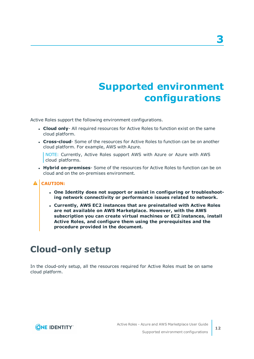# **Supported environment configurations**

<span id="page-11-0"></span>Active Roles support the following environment configurations.

- **Cloud only-** All required resources for Active Roles to function exist on the same cloud platform.
- **Cross-cloud** Some of the resources for Active Roles to function can be on another cloud platform. For example, AWS with Azure.

NOTE: Currently, Active Roles support AWS with Azure or Azure with AWS cloud platforms.

**• Hybrid on-premises**- Some of the resources for Active Roles to function can be on cloud and on the on-premises environment.

### **A** CAUTION:

- <sup>l</sup> **One Identity does not support or assist in configuring or troubleshooting network connectivity or performance issues related to network.**
- <sup>l</sup> **Currently, AWS EC2 instances that are preinstalled with Active Roles are not available on AWS Marketplace. However, with the AWS subscription you can create virtual machines or EC2 instances, install Active Roles, and configure them using the prerequisites and the procedure provided in the document.**

# <span id="page-11-1"></span>**Cloud-only setup**

In the cloud-only setup, all the resources required for Active Roles must be on same cloud platform.

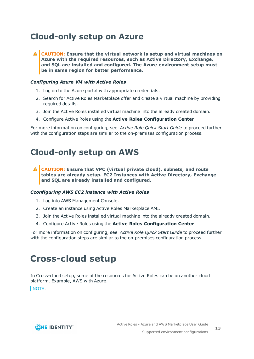## <span id="page-12-0"></span>**Cloud-only setup on Azure**

**CAUTION: Ensure that the virtual network is setup and virtual machines on Azure with the required resources, such as Active Directory, Exchange, and SQL are installed and configured. The Azure environment setup must be in same region for better performance.**

### *Configuring Azure VM with Active Roles*

- 1. Log on to the Azure portal with appropriate credentials.
- 2. Search for Active Roles Marketplace offer and create a virtual machine by providing required details.
- 3. Join the Active Roles installed virtual machine into the already created domain.
- 4. Configure Active Roles using the **Active Roles Configuration Center**.

For more information on configuring, see *Active Role Quick Start Guide* to proceed further with the configuration steps are similar to the on-premises configuration process.

### <span id="page-12-1"></span>**Cloud-only setup on AWS**

**CAUTION: Ensure that VPC (virtual private cloud), subnets, and route tables are already setup. EC2 Instances with Active Directory, Exchange and SQL are already installed and configured.**

### *Cconfiguring AWS EC2 instance with Active Roles*

- 1. Log into AWS Management Console.
- 2. Create an instance using Active Roles Marketplace AMI.
- 3. Join the Active Roles installed virtual machine into the already created domain.
- 4. Configure Active Roles using the **Active Roles Configuration Center**.

For more information on configuring, see *Active Role Quick Start Guide* to proceed further with the configuration steps are similar to the on-premises configuration process.

## <span id="page-12-2"></span>**Cross-cloud setup**

In Cross-cloud setup, some of the resources for Active Roles can be on another cloud platform. Example, AWS with Azure.

NOTE:

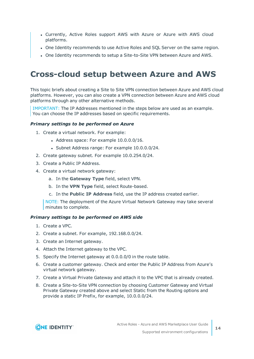- <sup>l</sup> Currently, Active Roles support AWS with Azure or Azure with AWS cloud platforms.
- One Identity recommends to use Active Roles and SQL Server on the same region.
- One Identity recommends to setup a Site-to-Site VPN between Azure and AWS.

### <span id="page-13-0"></span>**Cross-cloud setup between Azure and AWS**

This topic briefs about creating a Site to Site VPN connection between Azure and AWS cloud platforms. However, you can also create a VPN connection between Azure and AWS cloud platforms through any other alternative methods.

IMPORTANT: The IP Addresses mentioned in the steps below are used as an example. You can choose the IP addresses based on specific requirements.

### *Primary settings to be performed on Azure*

- 1. Create a virtual network. For example:
	- $\bullet$  Address space: For example  $10.0.0.0/16$ .
	- Subnet Address range: For example 10.0.0.0/24.
- 2. Create gateway subnet. For example 10.0.254.0/24.
- 3. Create a Public IP Address.
- 4. Create a virtual network gateway:
	- a. In the **Gateway Type** field, select VPN.
	- b. In the **VPN Type** field, select Route-based.
	- c. In the **Public IP Address** field, use the IP address created earlier.

NOTE: The deployment of the Azure Virtual Network Gateway may take several minutes to complete.

#### *Primary settings to be performed on AWS side*

- 1. Create a VPC.
- 2. Create a subnet. For example, 192.168.0.0/24.
- 3. Create an Internet gateway.
- 4. Attach the Internet gateway to the VPC.
- 5. Specify the Internet gateway at 0.0.0.0/0 in the route table.
- 6. Create a customer gateway. Check and enter the Public IP Address from Azure's virtual network gateway.
- 7. Create a Virtual Private Gateway and attach it to the VPC that is already created.
- 8. Create a Site-to-Site VPN connection by choosing Customer Gateway and Virtual Private Gateway created above and select Static from the Routing options and provide a static IP Prefix, for example, 10.0.0.0/24.

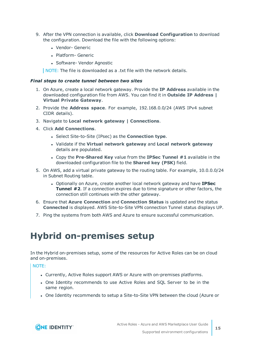- 9. After the VPN connection is available, click **Download Configuration** to download the configuration. Download the file with the following options:
	- Vendor- Generic
	- Platform- Generic
	- Software- Vendor Agnostic

NOTE: The file is downloaded as a .txt file with the network details.

### *Final steps to create tunnel between two sites*

- 1. On Azure, create a local network gateway. Provide the **IP Address** available in the downloaded configuration file from AWS. You can find it in **Outside IP Address | Virtual Private Gateway**.
- 2. Provide the **Address space**. For example, 192.168.0.0/24 (AWS IPv4 subnet CIDR details).
- 3. Navigate to **Local network gateway | Connections**.
- 4. Click **Add Connections**.
	- <sup>l</sup> Select Site-to-Site (IPsec) as the **Connection type**.
	- <sup>l</sup> Validate if the **Virtual network gateway** and **Local network gateway** details are populated.
	- <sup>l</sup> Copy the **Pre-Shared Key** value from the **IPSec Tunnel #1** available in the downloaded configuration file to the **Shared key (PSK)** field.
- 5. On AWS, add a virtual private gateway to the routing table. For example, 10.0.0.0/24 in Subnet Routing table.
	- <sup>l</sup> Optionally on Azure, create another local network gateway and have **IPSec Tunnel #2**. If a connection expires due to time signature or other factors, the connection still continues with the other gateway.
- 6. Ensure that **Azure Connection** and **Connection Status** is updated and the status **Connected** is displayed. AWS Site-to-Site VPN connection Tunnel status displays UP.
- <span id="page-14-0"></span>7. Ping the systems from both AWS and Azure to ensure successful communication.

# **Hybrid on-premises setup**

In the Hybrid on-premises setup, some of the resources for Active Roles can be on cloud and on-premises.

NOTE:

- Currently, Active Roles support AWS or Azure with on-premises platforms.
- One Identity recommends to use Active Roles and SOL Server to be in the same region.
- One Identity recommends to setup a Site-to-Site VPN between the cloud (Azure or

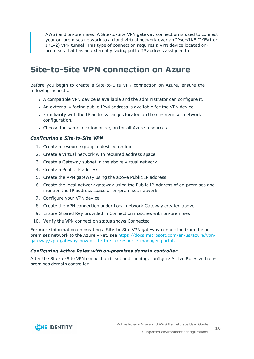AWS) and on-premises. A Site-to-Site VPN gateway connection is used to connect your on-premises network to a cloud virtual network over an IPsec/IKE (IKEv1 or IKEv2) VPN tunnel. This type of connection requires a VPN device located onpremises that has an externally facing public IP address assigned to it.

### <span id="page-15-0"></span>**Site-to-Site VPN connection on Azure**

Before you begin to create a Site-to-Site VPN connection on Azure, ensure the following aspects:

- A compatible VPN device is available and the administrator can configure it.
- An externally facing public IPv4 address is available for the VPN device.
- Familiarity with the IP address ranges located on the on-premises network configuration.
- Choose the same location or region for all Azure resources.

### *Configuring a Site-to-Site VPN*

- 1. Create a resource group in desired region
- 2. Create a virtual network with required address space
- 3. Create a Gateway subnet in the above virtual network
- 4. Create a Public IP address
- 5. Create the VPN gateway using the above Public IP address
- 6. Create the local network gateway using the Public IP Address of on-premises and mention the IP address space of on-premises network
- 7. Configure your VPN device
- 8. Create the VPN connection under Local network Gateway created above
- 9. Ensure Shared Key provided in Connection matches with on-premises
- 10. Verify the VPN connection status shows Connected

For more information on creating a Site-to-Site VPN gateway connection from the onpremises network to the Azure VNet, see [https://docs.microsoft.com/en-us/azure/vpn](https://docs.microsoft.com/en-us/azure/vpn-gateway/vpn-gateway-howto-site-to-site-resource-manager-portal)[gateway/vpn-gateway-howto-site-to-site-resource-manager-portal.](https://docs.microsoft.com/en-us/azure/vpn-gateway/vpn-gateway-howto-site-to-site-resource-manager-portal)

#### *Configuring Active Roles with on-premises domain controller*

After the Site-to-Site VPN connection is set and running, configure Active Roles with onpremises domain controller.

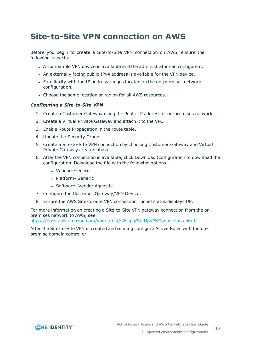## <span id="page-16-0"></span>**Site-to-Site VPN connection on AWS**

Before you begin to create a Site-to-Site VPN connection on AWS, ensure the following aspects:

- A compatible VPN device is available and the administrator can configure it.
- An externally facing public IPv4 address is available for the VPN device.
- Familiarity with the IP address ranges located on the on-premises network configuration.
- Choose the same location or region for all AWS resources.

### *Configuring a Site-to-Site VPN*

- 1. Create a Customer Gateway using the Public IP address of on-premises network
- 2. Create a Virtual Private Gateway and attach it to the VPC.
- 3. Enable Route Propagation in the route table.
- 4. Update the Security Group.
- 5. Create a Site-to-Site VPN connection by choosing Customer Gateway and Virtual Private Gateway created above.
- 6. After the VPN connection is available, click Download Configuration to download the configuration. Download the file with the following options:
	- Vendor- Generic
	- Platform- Generic
	- Software- Vendor Agnostic
- 7. Configure the Customer Gateway/VPN Device.
- 8. Ensure the AWS Site-to-Site VPN connection Tunnel status displays UP.

For more information on creating a Site-to-Site VPN gateway connection from the onpremises network to AWS, see

[https://docs.aws.amazon.com/vpn/latest/s2svpn/SetUpVPNConnections.html.](https://docs.aws.amazon.com/vpn/latest/s2svpn/SetUpVPNConnections.html)

After the Site-to-Site VPN is created and running configure Active Roles with the on– premise domain controller.